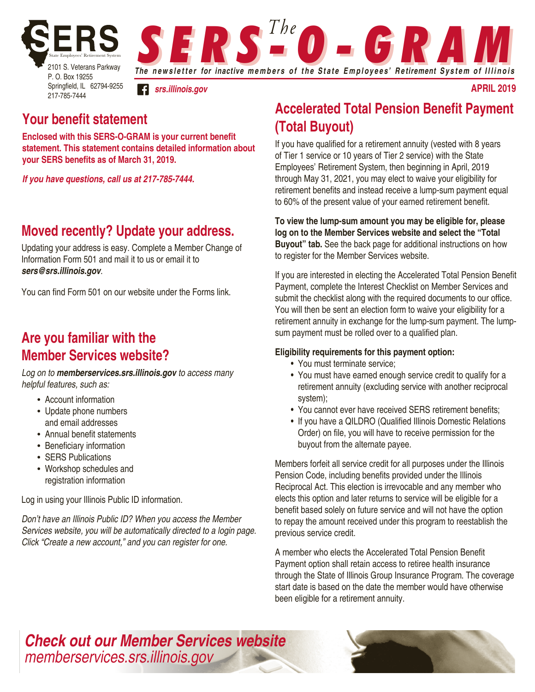

**S E R S <sup>The</sup> O - G R A M** 

*srs.illinois.gov*

## **Your benefit statement**

**Enclosed with this SERS-O-GRAM is your current benefit statement. This statement contains detailed information about your SERS benefits as of March 31, 2019.** 

*If you have questions, call us at 217-785-7444.* 

### **Moved recently? Update your address.**

Updating your address is easy. Complete a Member Change of Information Form 501 and mail it to us or email it to *sers@srs.illinois.gov*.

You can find Form 501 on our website under the Forms link.

## **Are you familiar with the Member Services website?**

*Log on to memberservices.srs.illinois.gov to access many helpful features, such as:*

- Account information
- Update phone numbers and email addresses
- Annual benefit statements
- Beneficiary information
- SERS Publications
- Workshop schedules and registration information

Log in using your Illinois Public ID information.

*Don't have an Illinois Public ID? When you access the Member Services website, you will be automatically directed to a login page. Click "Create a new account," and you can register for one.*

## **Accelerated Total Pension Benefit Payment (Total Buyout)**

**april 2019**

If you have qualified for a retirement annuity (vested with 8 years of Tier 1 service or 10 years of Tier 2 service) with the State Employees' Retirement System, then beginning in April, 2019 through May 31, 2021, you may elect to waive your eligibility for retirement benefits and instead receive a lump-sum payment equal to 60% of the present value of your earned retirement benefit.

**To view the lump-sum amount you may be eligible for, please log on to the Member Services website and select the "Total Buyout" tab.** See the back page for additional instructions on how to register for the Member Services website.

If you are interested in electing the Accelerated Total Pension Benefit Payment, complete the Interest Checklist on Member Services and submit the checklist along with the required documents to our office. You will then be sent an election form to waive your eligibility for a retirement annuity in exchange for the lump-sum payment. The lumpsum payment must be rolled over to a qualified plan.

### **Eligibility requirements for this payment option:**

- You must terminate service;
- You must have earned enough service credit to qualify for a retirement annuity (excluding service with another reciprocal system);
- You cannot ever have received SERS retirement benefits;
- If you have a QILDRO (Qualified Illinois Domestic Relations Order) on file, you will have to receive permission for the buyout from the alternate payee.

Members forfeit all service credit for all purposes under the Illinois Pension Code, including benefits provided under the Illinois Reciprocal Act. This election is irrevocable and any member who elects this option and later returns to service will be eligible for a benefit based solely on future service and will not have the option to repay the amount received under this program to reestablish the previous service credit.

A member who elects the Accelerated Total Pension Benefit Payment option shall retain access to retiree health insurance through the State of Illinois Group Insurance Program. The coverage start date is based on the date the member would have otherwise been eligible for a retirement annuity.